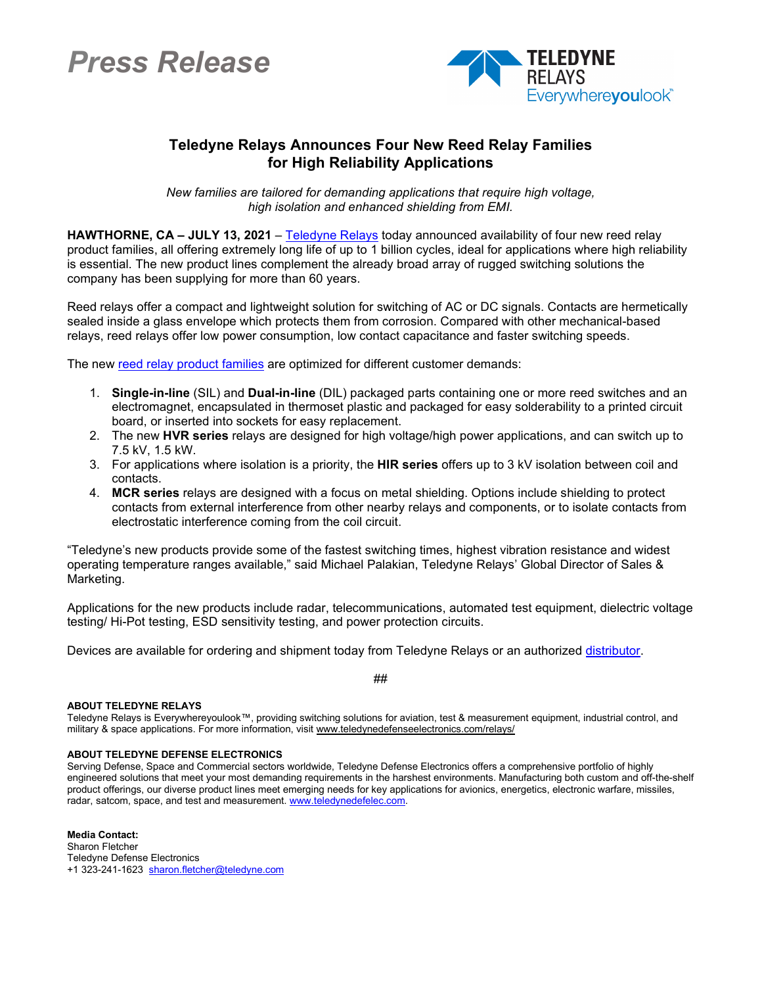## *Press Release*



## **Teledyne Relays Announces Four New Reed Relay Families for High Reliability Applications**

*New families are tailored for demanding applications that require high voltage, high isolation and enhanced shielding from EMI.*

**HAWTHORNE, CA – JULY 13, 2021** – [Teledyne Relays](https://www.teledynedefenseelectronics.com/relays/Pages/home.aspx) today announced availability of four new reed relay product families, all offering extremely long life of up to 1 billion cycles, ideal for applications where high reliability is essential. The new product lines complement the already broad array of rugged switching solutions the company has been supplying for more than 60 years.

Reed relays offer a compact and lightweight solution for switching of AC or DC signals. Contacts are hermetically sealed inside a glass envelope which protects them from corrosion. Compared with other mechanical-based relays, reed relays offer low power consumption, low contact capacitance and faster switching speeds.

The new [reed relay product families](https://www.teledynedefenseelectronics.com/relays/ourproducts/reedrelays/Pages/Reed-Relays.aspx) are optimized for different customer demands:

- 1. **Single-in-line** (SIL) and **Dual-in-line** (DIL) packaged parts containing one or more reed switches and an electromagnet, encapsulated in thermoset plastic and packaged for easy solderability to a printed circuit board, or inserted into sockets for easy replacement.
- 2. The new **HVR series** relays are designed for high voltage/high power applications, and can switch up to 7.5 kV, 1.5 kW.
- 3. For applications where isolation is a priority, the **HIR series** offers up to 3 kV isolation between coil and contacts.
- 4. **MCR series** relays are designed with a focus on metal shielding. Options include shielding to protect contacts from external interference from other nearby relays and components, or to isolate contacts from electrostatic interference coming from the coil circuit.

"Teledyne's new products provide some of the fastest switching times, highest vibration resistance and widest operating temperature ranges available," said Michael Palakian, Teledyne Relays' Global Director of Sales & Marketing.

Applications for the new products include radar, telecommunications, automated test equipment, dielectric voltage testing/ Hi-Pot testing, ESD sensitivity testing, and power protection circuits.

##

Devices are available for ordering and shipment today from Teledyne Relays or an authorized [distributor.](https://www.teledynedefenseelectronics.com/relays/buy-now/Pages/Authorized-Distributors---Americas.aspx)

## **ABOUT TELEDYNE RELAYS**

Teledyne Relays is Everywhereyoulook™, providing switching solutions for aviation, test & measurement equipment, industrial control, and military & space applications. For more information, visit www.teledynedefenseelectronics.com/relays/

## **ABOUT TELEDYNE DEFENSE ELECTRONICS**

Serving Defense, Space and Commercial sectors worldwide, Teledyne Defense Electronics offers a comprehensive portfolio of highly engineered solutions that meet your most demanding requirements in the harshest environments. Manufacturing both custom and off-the-shelf product offerings, our diverse product lines meet emerging needs for key applications for avionics, energetics, electronic warfare, missiles, radar, satcom, space, and test and measurement. www.teledynedefelec.com.

**Media Contact:** Sharon Fletcher Teledyne Defense Electronics +1 323-241-1623 [sharon.fletcher@teledyne.com](mailto:sharon.fletcher@teledyne.com)